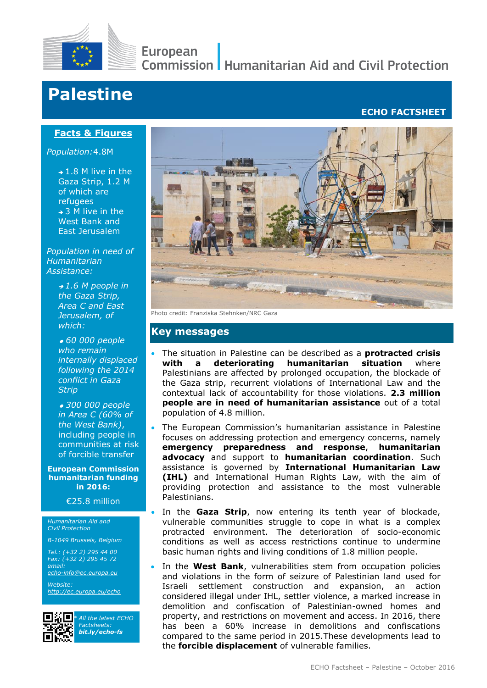

# European

**Commission | Humanitarian Aid and Civil Protection** 

# **Palestine**

### **ECHO FACTSHEET**

#### **Facts & Figures shortage**

*Population:*4.8M

 $\rightarrow$  1.8 M live in the Gaza Strip, 1.2 M of which are refugees  $\rightarrow$  3 M live in the West Bank and East Jerusalem

*Population in need of Humanitarian Assistance:*

> *1.6 M people in the Gaza Strip, Area C and East Jerusalem, of which:*

 *60 000 people who remain internally displaced following the 2014 conflict in Gaza Strip*

 *300 000 people in Area C (60% of the West Bank)*, including people in communities at risk of forcible transfer

**European Commission humanitarian funding in 2016:**

€25.8 million

*Humanitarian Aid and Civil Protection*

*B-1049 Brussels, Belgium*

*Tel.: (+32 2) 295 44 00 Fax: (+32 2) 295 45 72 email:* 

*[echo-info@ec.europa.eu](mailto:echo-info@ec.europa.eu) Website:* 

*<http://ec.europa.eu/echo>*



*\* All the latest ECHO Factsheets: [bit.ly/echo-fs](http://bit.ly/echo-fs)*



Photo credit: Franziska Stehnken/NRC Gaza

#### **Key messages**

- The situation in Palestine can be described as a **protracted crisis with a deteriorating humanitarian situation** where Palestinians are affected by prolonged occupation, the blockade of the Gaza strip, recurrent violations of International Law and the contextual lack of accountability for those violations. **2.3 million people are in need of humanitarian assistance** out of a total population of 4.8 million.
- The European Commission's humanitarian assistance in Palestine focuses on addressing protection and emergency concerns, namely **emergency preparedness and response**, **humanitarian advocacy** and support to **humanitarian coordination**. Such assistance is governed by **International Humanitarian Law (IHL)** and International Human Rights Law, with the aim of providing protection and assistance to the most vulnerable Palestinians.
- In the **Gaza Strip**, now entering its tenth year of blockade, vulnerable communities struggle to cope in what is a complex protracted environment. The deterioration of socio-economic conditions as well as access restrictions continue to undermine basic human rights and living conditions of 1.8 million people.
- In the **West Bank**, vulnerabilities stem from occupation policies and violations in the form of seizure of Palestinian land used for Israeli settlement construction and expansion, an action considered illegal under IHL, settler violence, a marked increase in demolition and confiscation of Palestinian-owned homes and property, and restrictions on movement and access. In 2016, there has been a 60% increase in demolitions and confiscations compared to the same period in 2015.These developments lead to the **forcible displacement** of vulnerable families.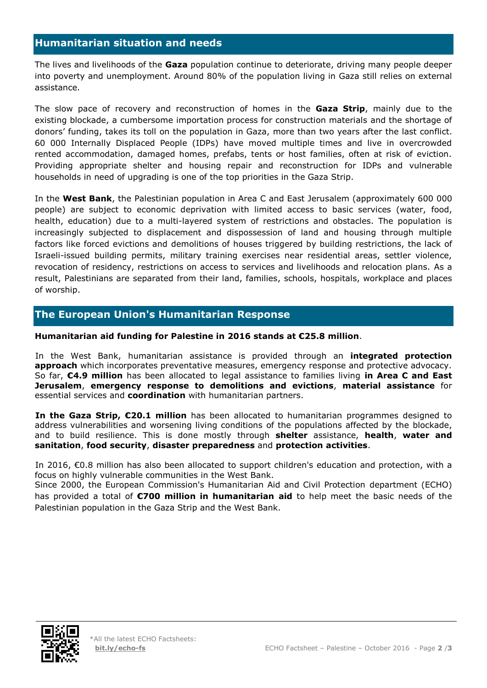## **Humanitarian situation and needs**

The lives and livelihoods of the **Gaza** population continue to deteriorate, driving many people deeper into poverty and unemployment. Around 80% of the population living in Gaza still relies on external assistance.

The slow pace of recovery and reconstruction of homes in the **Gaza Strip**, mainly due to the existing blockade, a cumbersome importation process for construction materials and the shortage of donors' funding, takes its toll on the population in Gaza, more than two years after the last conflict. 60 000 Internally Displaced People (IDPs) have moved multiple times and live in overcrowded rented accommodation, damaged homes, prefabs, tents or host families, often at risk of eviction. Providing appropriate shelter and housing repair and reconstruction for IDPs and vulnerable households in need of upgrading is one of the top priorities in the Gaza Strip.

In the **West Bank**, the Palestinian population in Area C and East Jerusalem (approximately 600 000 people) are subject to economic deprivation with limited access to basic services (water, food, health, education) due to a multi-layered system of restrictions and obstacles. The population is increasingly subjected to displacement and dispossession of land and housing through multiple factors like forced evictions and demolitions of houses triggered by building restrictions, the lack of Israeli-issued building permits, military training exercises near residential areas, settler violence, revocation of residency, restrictions on access to services and livelihoods and relocation plans. As a result, Palestinians are separated from their land, families, schools, hospitals, workplace and places of worship.

# **The European Union's Humanitarian Response**

#### **Humanitarian aid funding for Palestine in 2016 stands at €25.8 million**.

In the West Bank, humanitarian assistance is provided through an **integrated protection approach** which incorporates preventative measures, emergency response and protective advocacy. So far, **€4.9 million** has been allocated to legal assistance to families living **in Area C and East Jerusalem**, **emergency response to demolitions and evictions**, **material assistance** for essential services and **coordination** with humanitarian partners.

**In the Gaza Strip, €20.1 million** has been allocated to humanitarian programmes designed to address vulnerabilities and worsening living conditions of the populations affected by the blockade, and to build resilience. This is done mostly through **shelter** assistance, **health**, **water and sanitation**, **food security**, **disaster preparedness** and **protection activities**.

In 2016, €0.8 million has also been allocated to support children's education and protection, with a focus on highly vulnerable communities in the West Bank.

Since 2000, the European Commission's Humanitarian Aid and Civil Protection department (ECHO) has provided a total of **€700 million in humanitarian aid** to help meet the basic needs of the Palestinian population in the Gaza Strip and the West Bank.